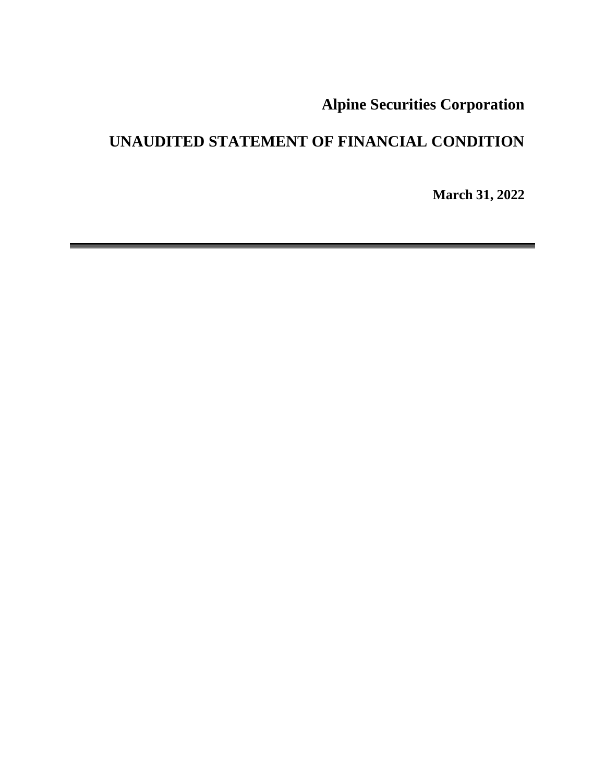**Alpine Securities Corporation**

# **UNAUDITED STATEMENT OF FINANCIAL CONDITION**

**March 31, 2022**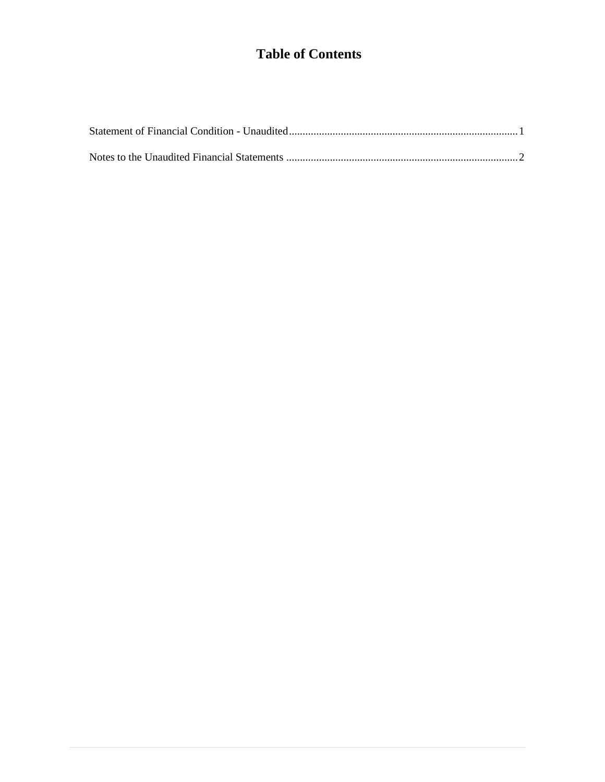## **Table of Contents**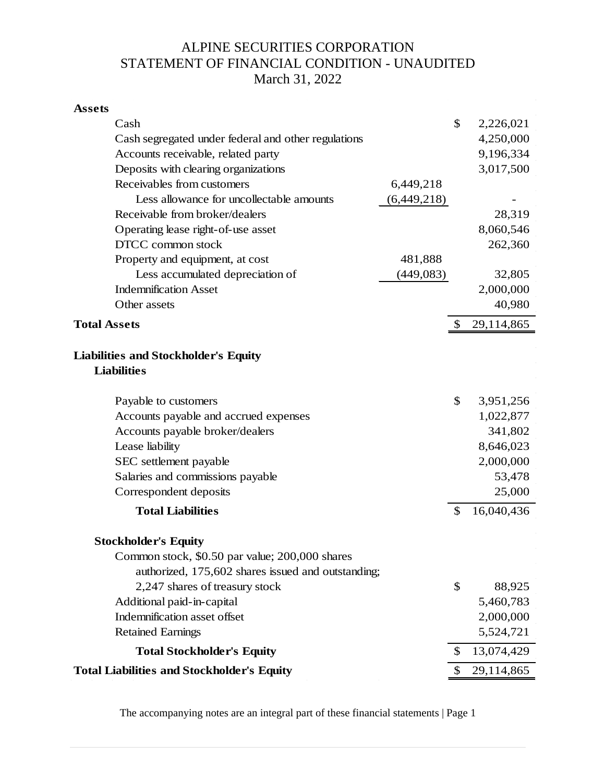## ALPINE SECURITIES CORPORATION STATEMENT OF FINANCIAL CONDITION - UNAUDITED March 31, 2022

| <b>Assets</b>                                                     |             |                  |
|-------------------------------------------------------------------|-------------|------------------|
| Cash                                                              |             | \$<br>2,226,021  |
| Cash segregated under federal and other regulations               |             | 4,250,000        |
| Accounts receivable, related party                                |             | 9,196,334        |
| Deposits with clearing organizations                              |             | 3,017,500        |
| Receivables from customers                                        | 6,449,218   |                  |
| Less allowance for uncollectable amounts                          | (6,449,218) |                  |
| Receivable from broker/dealers                                    |             | 28,319           |
| Operating lease right-of-use asset                                |             | 8,060,546        |
| DTCC common stock                                                 |             | 262,360          |
| Property and equipment, at cost                                   | 481,888     |                  |
| Less accumulated depreciation of                                  | (449, 083)  | 32,805           |
| <b>Indemnification Asset</b>                                      |             | 2,000,000        |
| Other assets                                                      |             | 40,980           |
| <b>Total Assets</b>                                               |             | \$<br>29,114,865 |
| <b>Liabilities and Stockholder's Equity</b><br><b>Liabilities</b> |             |                  |
| Payable to customers                                              |             | \$<br>3,951,256  |
| Accounts payable and accrued expenses                             |             | 1,022,877        |
| Accounts payable broker/dealers                                   |             | 341,802          |
| Lease liability                                                   |             | 8,646,023        |
| SEC settlement payable                                            |             | 2,000,000        |
| Salaries and commissions payable                                  |             | 53,478           |
| Correspondent deposits                                            |             | 25,000           |
| <b>Total Liabilities</b>                                          |             | \$<br>16,040,436 |
| Stockholder's Equity                                              |             |                  |
| Common stock, \$0.50 par value; 200,000 shares                    |             |                  |
| authorized, 175,602 shares issued and outstanding;                |             |                  |
| 2,247 shares of treasury stock                                    |             | \$<br>88,925     |
| Additional paid-in-capital                                        |             | 5,460,783        |
| Indemnification asset offset                                      |             | 2,000,000        |
| <b>Retained Earnings</b>                                          |             | 5,524,721        |
| <b>Total Stockholder's Equity</b>                                 |             | \$<br>13,074,429 |
| <b>Total Liabilities and Stockholder's Equity</b>                 |             | \$<br>29,114,865 |

The accompanying notes are an integral part of these financial statements | Page 1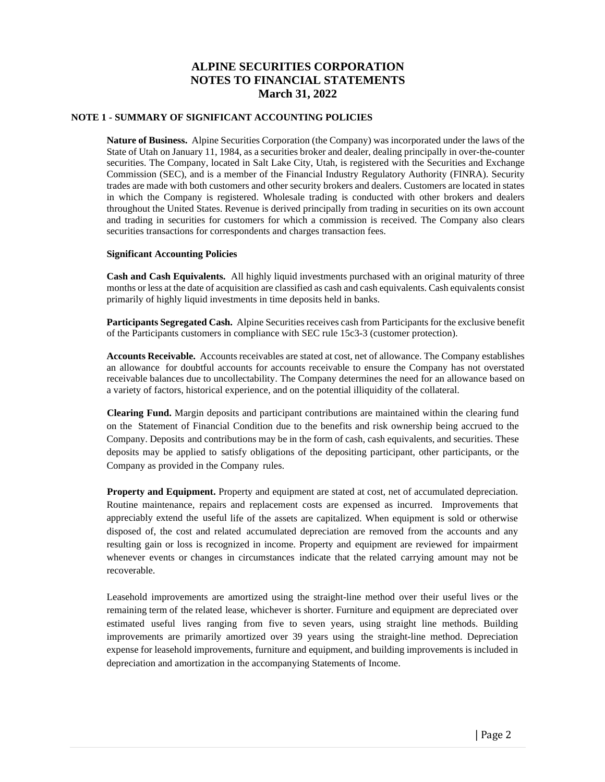#### **NOTE 1 - SUMMARY OF SIGNIFICANT ACCOUNTING POLICIES**

**Nature of Business.** Alpine Securities Corporation (the Company) was incorporated under the laws of the State of Utah on January 11, 1984, as a securities broker and dealer, dealing principally in over-the-counter securities. The Company, located in Salt Lake City, Utah, is registered with the Securities and Exchange Commission (SEC), and is a member of the Financial Industry Regulatory Authority (FINRA). Security trades are made with both customers and other security brokers and dealers. Customers are located in states in which the Company is registered. Wholesale trading is conducted with other brokers and dealers throughout the United States. Revenue is derived principally from trading in securities on its own account and trading in securities for customers for which a commission is received. The Company also clears securities transactions for correspondents and charges transaction fees.

#### **Significant Accounting Policies**

**Cash and Cash Equivalents.** All highly liquid investments purchased with an original maturity of three months or less at the date of acquisition are classified as cash and cash equivalents. Cash equivalents consist primarily of highly liquid investments in time deposits held in banks.

**Participants Segregated Cash.** Alpine Securities receives cash from Participants for the exclusive benefit of the Participants customers in compliance with SEC rule 15c3-3 (customer protection).

**Accounts Receivable.** Accounts receivables are stated at cost, net of allowance. The Company establishes an allowance for doubtful accounts for accounts receivable to ensure the Company has not overstated receivable balances due to uncollectability. The Company determines the need for an allowance based on a variety of factors, historical experience, and on the potential illiquidity of the collateral.

**Clearing Fund.** Margin deposits and participant contributions are maintained within the clearing fund on the Statement of Financial Condition due to the benefits and risk ownership being accrued to the Company. Deposits and contributions may be in the form of cash, cash equivalents, and securities. These deposits may be applied to satisfy obligations of the depositing participant, other participants, or the Company as provided in the Company rules.

**Property and Equipment.** Property and equipment are stated at cost, net of accumulated depreciation. Routine maintenance, repairs and replacement costs are expensed as incurred. Improvements that appreciably extend the useful life of the assets are capitalized. When equipment is sold or otherwise disposed of, the cost and related accumulated depreciation are removed from the accounts and any resulting gain or loss is recognized in income. Property and equipment are reviewed for impairment whenever events or changes in circumstances indicate that the related carrying amount may not be recoverable.

Leasehold improvements are amortized using the straight-line method over their useful lives or the remaining term of the related lease, whichever is shorter. Furniture and equipment are depreciated over estimated useful lives ranging from five to seven years, using straight line methods. Building improvements are primarily amortized over 39 years using the straight-line method. Depreciation expense for leasehold improvements, furniture and equipment, and building improvements is included in depreciation and amortization in the accompanying Statements of Income.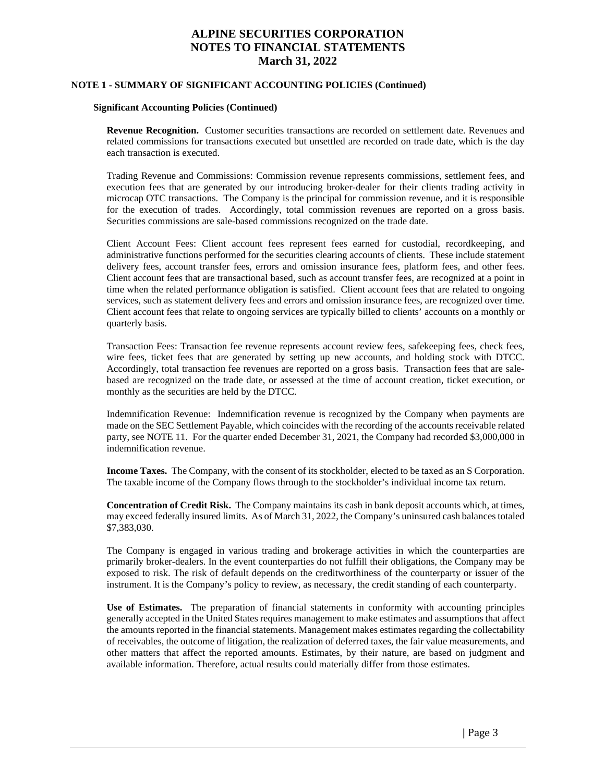#### **NOTE 1 - SUMMARY OF SIGNIFICANT ACCOUNTING POLICIES (Continued)**

#### **Significant Accounting Policies (Continued)**

**Revenue Recognition.** Customer securities transactions are recorded on settlement date. Revenues and related commissions for transactions executed but unsettled are recorded on trade date, which is the day each transaction is executed.

Trading Revenue and Commissions: Commission revenue represents commissions, settlement fees, and execution fees that are generated by our introducing broker-dealer for their clients trading activity in microcap OTC transactions. The Company is the principal for commission revenue, and it is responsible for the execution of trades. Accordingly, total commission revenues are reported on a gross basis. Securities commissions are sale-based commissions recognized on the trade date.

Client Account Fees: Client account fees represent fees earned for custodial, recordkeeping, and administrative functions performed for the securities clearing accounts of clients. These include statement delivery fees, account transfer fees, errors and omission insurance fees, platform fees, and other fees. Client account fees that are transactional based, such as account transfer fees, are recognized at a point in time when the related performance obligation is satisfied. Client account fees that are related to ongoing services, such as statement delivery fees and errors and omission insurance fees, are recognized over time. Client account fees that relate to ongoing services are typically billed to clients' accounts on a monthly or quarterly basis.

Transaction Fees: Transaction fee revenue represents account review fees, safekeeping fees, check fees, wire fees, ticket fees that are generated by setting up new accounts, and holding stock with DTCC. Accordingly, total transaction fee revenues are reported on a gross basis. Transaction fees that are salebased are recognized on the trade date, or assessed at the time of account creation, ticket execution, or monthly as the securities are held by the DTCC.

Indemnification Revenue: Indemnification revenue is recognized by the Company when payments are made on the SEC Settlement Payable, which coincides with the recording of the accounts receivable related party, see NOTE 11. For the quarter ended December 31, 2021, the Company had recorded \$3,000,000 in indemnification revenue.

**Income Taxes.** The Company, with the consent of its stockholder, elected to be taxed as an S Corporation. The taxable income of the Company flows through to the stockholder's individual income tax return.

**Concentration of Credit Risk.** The Company maintains its cash in bank deposit accounts which, at times, may exceed federally insured limits. As of March 31, 2022, the Company's uninsured cash balances totaled \$7,383,030.

The Company is engaged in various trading and brokerage activities in which the counterparties are primarily broker-dealers. In the event counterparties do not fulfill their obligations, the Company may be exposed to risk. The risk of default depends on the creditworthiness of the counterparty or issuer of the instrument. It is the Company's policy to review, as necessary, the credit standing of each counterparty.

**Use of Estimates.** The preparation of financial statements in conformity with accounting principles generally accepted in the United States requires management to make estimates and assumptions that affect the amounts reported in the financial statements. Management makes estimates regarding the collectability of receivables, the outcome of litigation, the realization of deferred taxes, the fair value measurements, and other matters that affect the reported amounts. Estimates, by their nature, are based on judgment and available information. Therefore, actual results could materially differ from those estimates.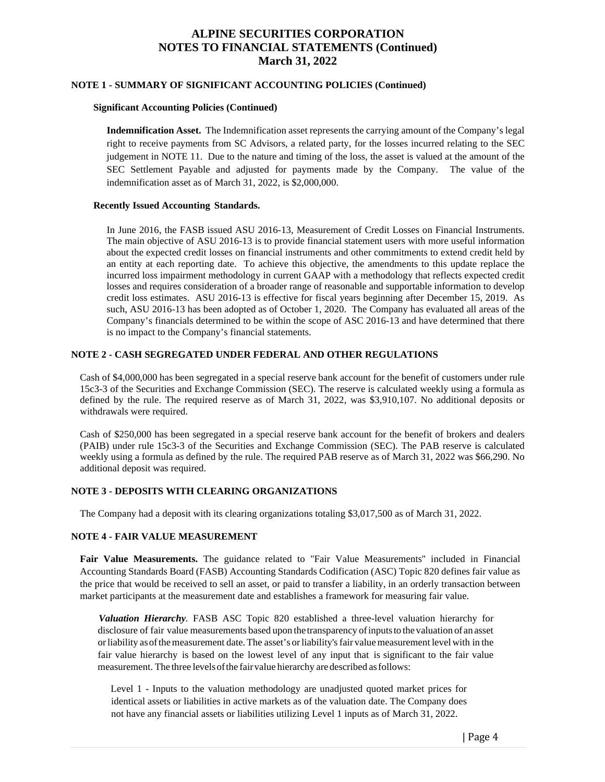#### **NOTE 1 - SUMMARY OF SIGNIFICANT ACCOUNTING POLICIES (Continued)**

#### **Significant Accounting Policies (Continued)**

**Indemnification Asset.** The Indemnification asset represents the carrying amount of the Company's legal right to receive payments from SC Advisors, a related party, for the losses incurred relating to the SEC judgement in NOTE 11. Due to the nature and timing of the loss, the asset is valued at the amount of the SEC Settlement Payable and adjusted for payments made by the Company. The value of the indemnification asset as of March 31, 2022, is \$2,000,000.

#### **Recently Issued Accounting Standards.**

In June 2016, the FASB issued ASU 2016-13, Measurement of Credit Losses on Financial Instruments. The main objective of ASU 2016-13 is to provide financial statement users with more useful information about the expected credit losses on financial instruments and other commitments to extend credit held by an entity at each reporting date. To achieve this objective, the amendments to this update replace the incurred loss impairment methodology in current GAAP with a methodology that reflects expected credit losses and requires consideration of a broader range of reasonable and supportable information to develop credit loss estimates. ASU 2016-13 is effective for fiscal years beginning after December 15, 2019. As such, ASU 2016-13 has been adopted as of October 1, 2020. The Company has evaluated all areas of the Company's financials determined to be within the scope of ASC 2016-13 and have determined that there is no impact to the Company's financial statements.

#### **NOTE 2 - CASH SEGREGATED UNDER FEDERAL AND OTHER REGULATIONS**

Cash of \$4,000,000 has been segregated in a special reserve bank account for the benefit of customers under rule 15c3-3 of the Securities and Exchange Commission (SEC). The reserve is calculated weekly using a formula as defined by the rule. The required reserve as of March 31, 2022, was \$3,910,107. No additional deposits or withdrawals were required.

Cash of \$250,000 has been segregated in a special reserve bank account for the benefit of brokers and dealers (PAIB) under rule 15c3-3 of the Securities and Exchange Commission (SEC). The PAB reserve is calculated weekly using a formula as defined by the rule. The required PAB reserve as of March 31, 2022 was \$66,290. No additional deposit was required.

#### **NOTE 3 - DEPOSITS WITH CLEARING ORGANIZATIONS**

The Company had a deposit with its clearing organizations totaling \$3,017,500 as of March 31, 2022.

#### **NOTE 4 - FAIR VALUE MEASUREMENT**

**Fair Value Measurements.** The guidance related to "Fair Value Measurements'' included in Financial Accounting Standards Board (FASB) Accounting Standards Codification (ASC) Topic 820 defines fair value as the price that would be received to sell an asset, or paid to transfer a liability, in an orderly transaction between market participants at the measurement date and establishes a framework for measuring fair value.

*Valuation Hierarchy.* FASB ASC Topic 820 established a three-level valuation hierarchy for disclosure of fair value measurements based upon thetransparency ofinputsto the valuation of an asset orliability asofthemeasurement date.The asset's orliability'sfair valuemeasurement levelwith in the fair value hierarchy is based on the lowest level of any input that is significant to the fair value measurement. The three levelsofthe fairvalue hierarchy aredescribed asfollows:

Level 1 - Inputs to the valuation methodology are unadjusted quoted market prices for identical assets or liabilities in active markets as of the valuation date. The Company does not have any financial assets or liabilities utilizing Level 1 inputs as of March 31, 2022.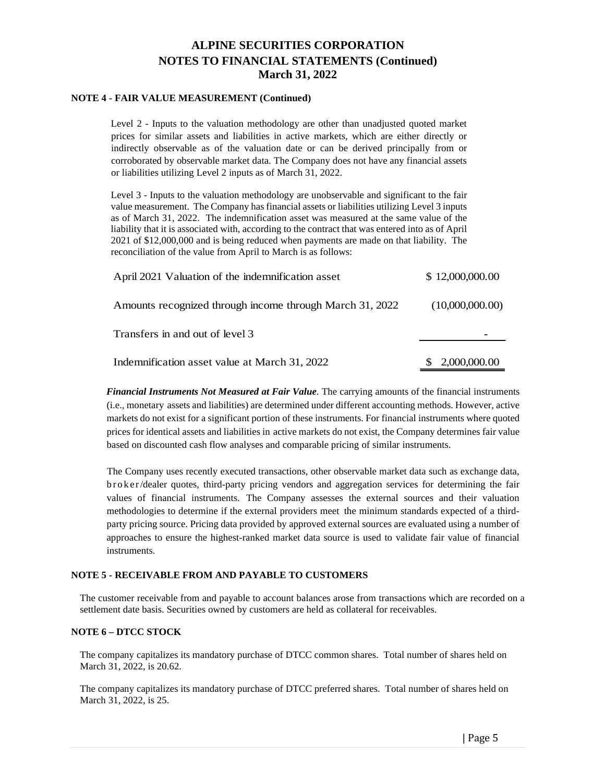#### **NOTE 4 - FAIR VALUE MEASUREMENT (Continued)**

Level 2 - Inputs to the valuation methodology are other than unadjusted quoted market prices for similar assets and liabilities in active markets, which are either directly or indirectly observable as of the valuation date or can be derived principally from or corroborated by observable market data. The Company does not have any financial assets or liabilities utilizing Level 2 inputs as of March 31, 2022.

Level 3 - Inputs to the valuation methodology are unobservable and significant to the fair value measurement. The Company has financial assets or liabilities utilizing Level 3 inputs as of March 31, 2022. The indemnification asset was measured at the same value of the liability that it is associated with, according to the contract that was entered into as of April 2021 of \$12,000,000 and is being reduced when payments are made on that liability. The reconciliation of the value from April to March is as follows:

| April 2021 Valuation of the indemnification asset        | \$12,000,000.00 |
|----------------------------------------------------------|-----------------|
| Amounts recognized through income through March 31, 2022 | (10,000,000,00) |
| Transfers in and out of level 3                          |                 |
| Indemnification asset value at March 31, 2022            | 2,000,000.00    |

*Financial Instruments Not Measured at Fair Value.* The carrying amounts of the financial instruments (i.e., monetary assets and liabilities) are determined under different accounting methods. However, active markets do not exist for a significant portion of these instruments. For financial instruments where quoted prices for identical assets and liabilities in active markets do not exist, the Company determines fair value based on discounted cash flow analyses and comparable pricing of similar instruments.

The Company uses recently executed transactions, other observable market data such as exchange data, broker/dealer quotes, third-party pricing vendors and aggregation services for determining the fair values of financial instruments. The Company assesses the external sources and their valuation methodologies to determine if the external providers meet the minimum standards expected of a thirdparty pricing source. Pricing data provided by approved external sources are evaluated using a number of approaches to ensure the highest-ranked market data source is used to validate fair value of financial instruments.

#### **NOTE 5 - RECEIVABLE FROM AND PAYABLE TO CUSTOMERS**

The customer receivable from and payable to account balances arose from transactions which are recorded on a settlement date basis. Securities owned by customers are held as collateral for receivables.

#### **NOTE 6 – DTCC STOCK**

The company capitalizes its mandatory purchase of DTCC common shares. Total number of shares held on March 31, 2022, is 20.62.

The company capitalizes its mandatory purchase of DTCC preferred shares. Total number of shares held on March 31, 2022, is 25.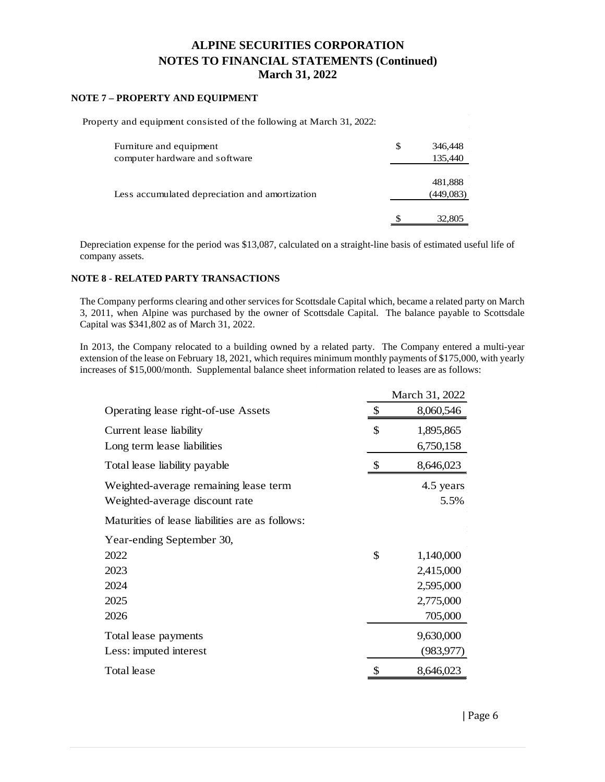#### **NOTE 7 – PROPERTY AND EQUIPMENT**

Property and equipment consisted of the following at March 31, 2022:

| Furniture and equipment<br>computer hardware and software | S | 346,448<br>135,440   |
|-----------------------------------------------------------|---|----------------------|
| Less accumulated depreciation and amortization            |   | 481,888<br>(449,083) |
|                                                           |   | 32,805               |

Depreciation expense for the period was \$13,087, calculated on a straight-line basis of estimated useful life of company assets.

#### **NOTE 8 - RELATED PARTY TRANSACTIONS**

The Company performs clearing and other services for Scottsdale Capital which, became a related party on March 3, 2011, when Alpine was purchased by the owner of Scottsdale Capital. The balance payable to Scottsdale Capital was \$341,802 as of March 31, 2022.

In 2013, the Company relocated to a building owned by a related party. The Company entered a multi-year extension of the lease on February 18, 2021, which requires minimum monthly payments of \$175,000, with yearly increases of \$15,000/month. Supplemental balance sheet information related to leases are as follows:

|                                                 | March 31, 2022 |            |  |
|-------------------------------------------------|----------------|------------|--|
| Operating lease right-of-use Assets             | \$             | 8,060,546  |  |
| Current lease liability                         | \$             | 1,895,865  |  |
| Long term lease liabilities                     |                | 6,750,158  |  |
| Total lease liability payable                   |                | 8,646,023  |  |
| Weighted-average remaining lease term           |                | 4.5 years  |  |
| Weighted-average discount rate                  |                | 5.5%       |  |
| Maturities of lease liabilities are as follows: |                |            |  |
| Year-ending September 30,                       |                |            |  |
| 2022                                            | \$             | 1,140,000  |  |
| 2023                                            |                | 2,415,000  |  |
| 2024                                            |                | 2,595,000  |  |
| 2025                                            |                | 2,775,000  |  |
| 2026                                            |                | 705,000    |  |
| Total lease payments                            |                | 9,630,000  |  |
| Less: imputed interest                          |                | (983, 977) |  |
| Total lease                                     |                | 8,646,023  |  |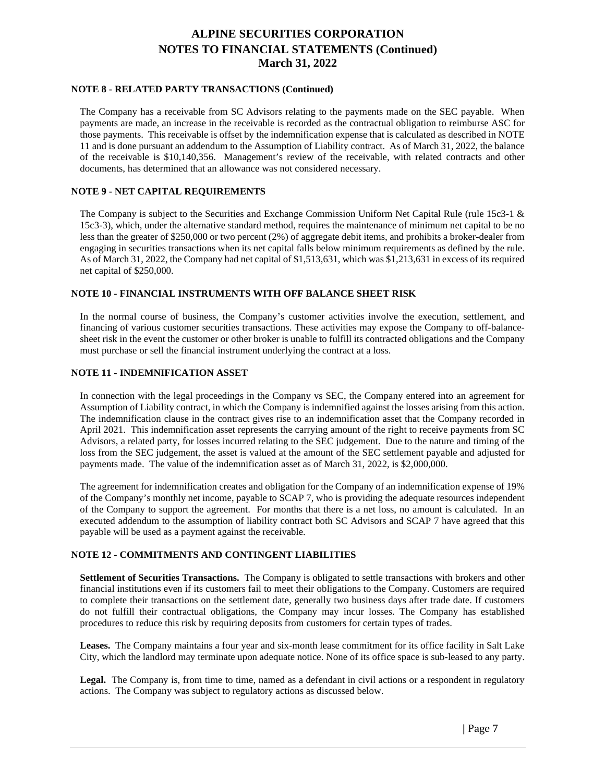#### **NOTE 8 - RELATED PARTY TRANSACTIONS (Continued)**

The Company has a receivable from SC Advisors relating to the payments made on the SEC payable. When payments are made, an increase in the receivable is recorded as the contractual obligation to reimburse ASC for those payments. This receivable is offset by the indemnification expense that is calculated as described in NOTE 11 and is done pursuant an addendum to the Assumption of Liability contract. As of March 31, 2022, the balance of the receivable is \$10,140,356. Management's review of the receivable, with related contracts and other documents, has determined that an allowance was not considered necessary.

#### **NOTE 9 - NET CAPITAL REQUIREMENTS**

The Company is subject to the Securities and Exchange Commission Uniform Net Capital Rule (rule 15c3-1 & 15c3-3), which, under the alternative standard method, requires the maintenance of minimum net capital to be no less than the greater of \$250,000 or two percent (2%) of aggregate debit items, and prohibits a broker-dealer from engaging in securities transactions when its net capital falls below minimum requirements as defined by the rule. As of March 31, 2022, the Company had net capital of \$1,513,631, which was \$1,213,631 in excess of its required net capital of \$250,000.

#### **NOTE 10 - FINANCIAL INSTRUMENTS WITH OFF BALANCE SHEET RISK**

In the normal course of business, the Company's customer activities involve the execution, settlement, and financing of various customer securities transactions. These activities may expose the Company to off-balancesheet risk in the event the customer or other broker is unable to fulfill its contracted obligations and the Company must purchase or sell the financial instrument underlying the contract at a loss.

#### **NOTE 11 - INDEMNIFICATION ASSET**

In connection with the legal proceedings in the Company vs SEC, the Company entered into an agreement for Assumption of Liability contract, in which the Company is indemnified against the losses arising from this action. The indemnification clause in the contract gives rise to an indemnification asset that the Company recorded in April 2021. This indemnification asset represents the carrying amount of the right to receive payments from SC Advisors, a related party, for losses incurred relating to the SEC judgement. Due to the nature and timing of the loss from the SEC judgement, the asset is valued at the amount of the SEC settlement payable and adjusted for payments made. The value of the indemnification asset as of March 31, 2022, is \$2,000,000.

The agreement for indemnification creates and obligation for the Company of an indemnification expense of 19% of the Company's monthly net income, payable to SCAP 7, who is providing the adequate resources independent of the Company to support the agreement. For months that there is a net loss, no amount is calculated. In an executed addendum to the assumption of liability contract both SC Advisors and SCAP 7 have agreed that this payable will be used as a payment against the receivable.

#### **NOTE 12 - COMMITMENTS AND CONTINGENT LIABILITIES**

**Settlement of Securities Transactions.** The Company is obligated to settle transactions with brokers and other financial institutions even if its customers fail to meet their obligations to the Company. Customers are required to complete their transactions on the settlement date, generally two business days after trade date. If customers do not fulfill their contractual obligations, the Company may incur losses. The Company has established procedures to reduce this risk by requiring deposits from customers for certain types of trades.

**Leases.** The Company maintains a four year and six-month lease commitment for its office facility in Salt Lake City, which the landlord may terminate upon adequate notice. None of its office space is sub-leased to any party.

Legal. The Company is, from time to time, named as a defendant in civil actions or a respondent in regulatory actions. The Company was subject to regulatory actions as discussed below.